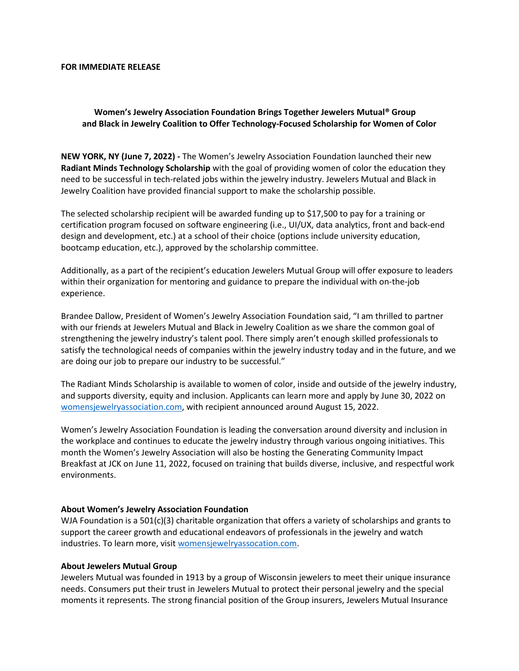#### **FOR IMMEDIATE RELEASE**

# **Women's Jewelry Association Foundation Brings Together Jewelers Mutual® Group and Black in Jewelry Coalition to Offer Technology-Focused Scholarship for Women of Color**

**NEW YORK, NY (June 7, 2022) -** The Women's Jewelry Association Foundation launched their new **Radiant Minds Technology Scholarship** with the goal of providing women of color the education they need to be successful in tech-related jobs within the jewelry industry. Jewelers Mutual and Black in Jewelry Coalition have provided financial support to make the scholarship possible.

The selected scholarship recipient will be awarded funding up to \$17,500 to pay for a training or certification program focused on software engineering (i.e., UI/UX, data analytics, front and back-end design and development, etc.) at a school of their choice (options include university education, bootcamp education, etc.), approved by the scholarship committee.

Additionally, as a part of the recipient's education Jewelers Mutual Group will offer exposure to leaders within their organization for mentoring and guidance to prepare the individual with on-the-job experience.

Brandee Dallow, President of Women's Jewelry Association Foundation said, "I am thrilled to partner with our friends at Jewelers Mutual and Black in Jewelry Coalition as we share the common goal of strengthening the jewelry industry's talent pool. There simply aren't enough skilled professionals to satisfy the technological needs of companies within the jewelry industry today and in the future, and we are doing our job to prepare our industry to be successful."

The Radiant Minds Scholarship is available to women of color, inside and outside of the jewelry industry, and supports diversity, equity and inclusion. Applicants can learn more and apply by June 30, 2022 on womensjewelryassociation.com, with recipient announced around August 15, 2022.

Women's Jewelry Association Foundation is leading the conversation around diversity and inclusion in the workplace and continues to educate the jewelry industry through various ongoing initiatives. This month the Women's Jewelry Association will also be hosting the Generating Community Impact Breakfast at JCK on June 11, 2022, focused on training that builds diverse, inclusive, and respectful work environments.

## **About Women's Jewelry Association Foundation**

WJA Foundation is a 501(c)(3) charitable organization that offers a variety of scholarships and grants to support the career growth and educational endeavors of professionals in the jewelry and watch industries. To learn more, visit womensjewelryassocation.com.

### **About Jewelers Mutual Group**

Jewelers Mutual was founded in 1913 by a group of Wisconsin jewelers to meet their unique insurance needs. Consumers put their trust in Jewelers Mutual to protect their personal jewelry and the special moments it represents. The strong financial position of the Group insurers, Jewelers Mutual Insurance